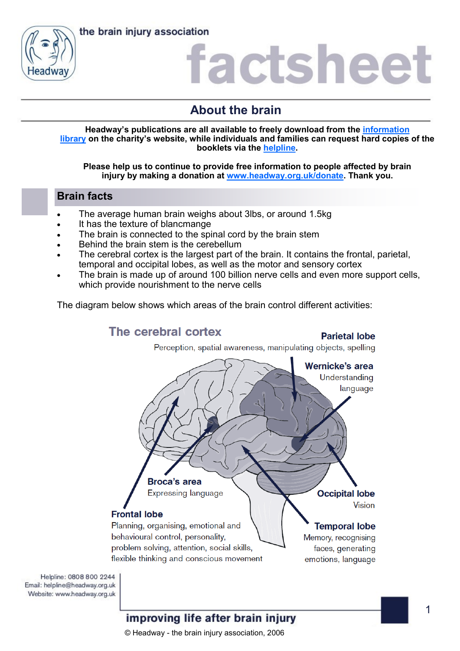

### **About the brain**

**Headway's publications are all available to freely download from the [information](https://www.headway.org.uk/about-brain-injury/individuals/information-library/)  [library](https://www.headway.org.uk/about-brain-injury/individuals/information-library/) on the charity's website, while individuals and families can request hard copies of the booklets via the [helpline.](https://www.headway.org.uk/supporting-you/helpline/)**

**Please help us to continue to provide free information to people affected by brain injury by making a donation at [www.headway.org.uk/donate.](http://www.headway.org.uk/donate) Thank you.**

#### **Brain facts**

- The average human brain weighs about 3lbs, or around 1.5kg
- It has the texture of blancmange
- The brain is connected to the spinal cord by the brain stem
- Behind the brain stem is the cerebellum
- The cerebral cortex is the largest part of the brain. It contains the frontal, parietal, temporal and occipital lobes, as well as the motor and sensory cortex
- The brain is made up of around 100 billion nerve cells and even more support cells, which provide nourishment to the nerve cells

The diagram below shows which areas of the brain control different activities:



Helpline: 0808 800 2244 Email: helpline@headway.org.uk Website: www.headway.org.uk

#### improving life after brain injury

© Headway - the brain injury association, 2006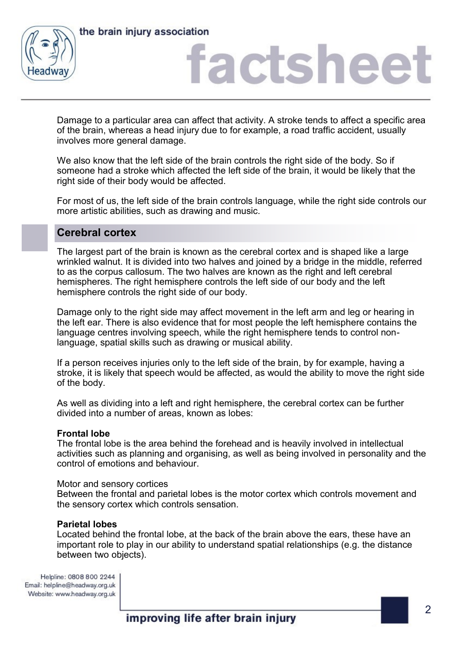



Damage to a particular area can affect that activity. A stroke tends to affect a specific area of the brain, whereas a head injury due to for example, a road traffic accident, usually involves more general damage.

We also know that the left side of the brain controls the right side of the body. So if someone had a stroke which affected the left side of the brain, it would be likely that the right side of their body would be affected.

For most of us, the left side of the brain controls language, while the right side controls our more artistic abilities, such as drawing and music.

#### **Cerebral cortex**

The largest part of the brain is known as the cerebral cortex and is shaped like a large wrinkled walnut. It is divided into two halves and joined by a bridge in the middle, referred to as the corpus callosum. The two halves are known as the right and left cerebral hemispheres. The right hemisphere controls the left side of our body and the left hemisphere controls the right side of our body.

Damage only to the right side may affect movement in the left arm and leg or hearing in the left ear. There is also evidence that for most people the left hemisphere contains the language centres involving speech, while the right hemisphere tends to control nonlanguage, spatial skills such as drawing or musical ability.

If a person receives injuries only to the left side of the brain, by for example, having a stroke, it is likely that speech would be affected, as would the ability to move the right side of the body.

As well as dividing into a left and right hemisphere, the cerebral cortex can be further divided into a number of areas, known as lobes:

#### **Frontal lobe**

The frontal lobe is the area behind the forehead and is heavily involved in intellectual activities such as planning and organising, as well as being involved in personality and the control of emotions and behaviour.

#### Motor and sensory cortices

Between the frontal and parietal lobes is the motor cortex which controls movement and the sensory cortex which controls sensation.

#### **Parietal lobes**

Located behind the frontal lobe, at the back of the brain above the ears, these have an important role to play in our ability to understand spatial relationships (e.g. the distance between two objects).

Helpline: 0808 800 2244 Email: helpline@headway.org.uk Website: www.headway.org.uk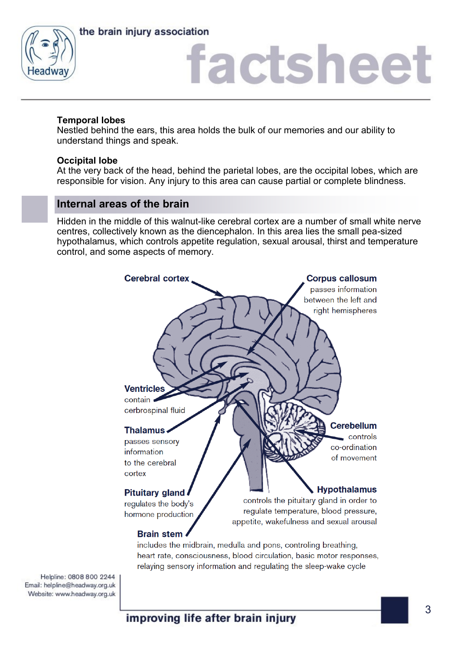



#### **Temporal lobes**

Nestled behind the ears, this area holds the bulk of our memories and our ability to understand things and speak.

#### **Occipital lobe**

At the very back of the head, behind the parietal lobes, are the occipital lobes, which are responsible for vision. Any injury to this area can cause partial or complete blindness.

#### **Internal areas of the brain**

Hidden in the middle of this walnut-like cerebral cortex are a number of small white nerve centres, collectively known as the diencephalon. In this area lies the small pea-sized hypothalamus, which controls appetite regulation, sexual arousal, thirst and temperature control, and some aspects of memory.



Helpline: 0808 800 2244 Email: helpline@headway.org.uk Website: www.headway.org.uk

improving life after brain injury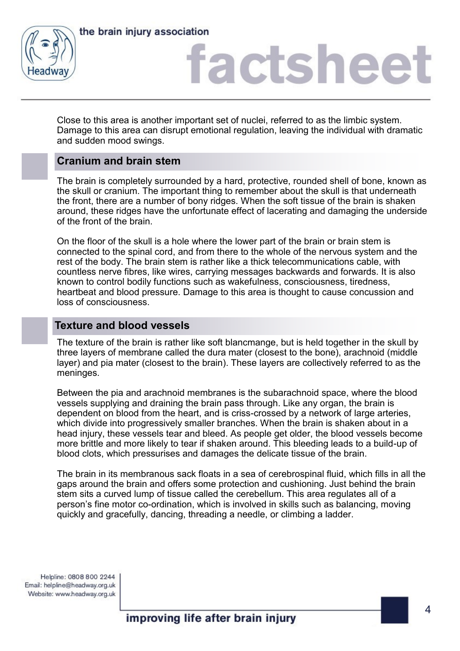



Close to this area is another important set of nuclei, referred to as the limbic system. Damage to this area can disrupt emotional regulation, leaving the individual with dramatic and sudden mood swings.

#### **Cranium and brain stem**

The brain is completely surrounded by a hard, protective, rounded shell of bone, known as the skull or cranium. The important thing to remember about the skull is that underneath the front, there are a number of bony ridges. When the soft tissue of the brain is shaken around, these ridges have the unfortunate effect of lacerating and damaging the underside of the front of the brain.

On the floor of the skull is a hole where the lower part of the brain or brain stem is connected to the spinal cord, and from there to the whole of the nervous system and the rest of the body. The brain stem is rather like a thick telecommunications cable, with countless nerve fibres, like wires, carrying messages backwards and forwards. It is also known to control bodily functions such as wakefulness, consciousness, tiredness, heartbeat and blood pressure. Damage to this area is thought to cause concussion and loss of consciousness.

#### **Texture and blood vessels**

The texture of the brain is rather like soft blancmange, but is held together in the skull by three layers of membrane called the dura mater (closest to the bone), arachnoid (middle layer) and pia mater (closest to the brain). These layers are collectively referred to as the meninges.

Between the pia and arachnoid membranes is the subarachnoid space, where the blood vessels supplying and draining the brain pass through. Like any organ, the brain is dependent on blood from the heart, and is criss-crossed by a network of large arteries, which divide into progressively smaller branches. When the brain is shaken about in a head injury, these vessels tear and bleed. As people get older, the blood vessels become more brittle and more likely to tear if shaken around. This bleeding leads to a build-up of blood clots, which pressurises and damages the delicate tissue of the brain.

The brain in its membranous sack floats in a sea of cerebrospinal fluid, which fills in all the gaps around the brain and offers some protection and cushioning. Just behind the brain stem sits a curved lump of tissue called the cerebellum. This area regulates all of a person's fine motor co-ordination, which is involved in skills such as balancing, moving quickly and gracefully, dancing, threading a needle, or climbing a ladder.

Helpline: 0808 800 2244 Email: helpline@headway.org.uk Website: www.headway.org.uk